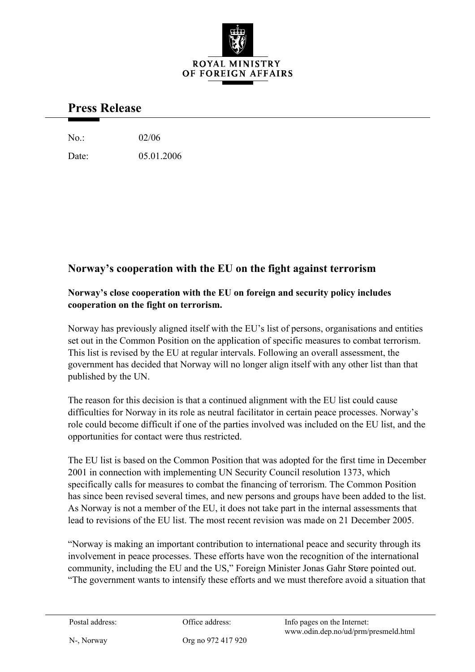

## **Press Release**

No.: 02/06

Date: 05.01.2006

## **Norway's cooperation with the EU on the fight against terrorism**

## **Norway's close cooperation with the EU on foreign and security policy includes cooperation on the fight on terrorism.**

Norway has previously aligned itself with the EU's list of persons, organisations and entities set out in the Common Position on the application of specific measures to combat terrorism. This list is revised by the EU at regular intervals. Following an overall assessment, the government has decided that Norway will no longer align itself with any other list than that published by the UN.

The reason for this decision is that a continued alignment with the EU list could cause difficulties for Norway in its role as neutral facilitator in certain peace processes. Norway's role could become difficult if one of the parties involved was included on the EU list, and the opportunities for contact were thus restricted.

The EU list is based on the Common Position that was adopted for the first time in December 2001 in connection with implementing UN Security Council resolution 1373, which specifically calls for measures to combat the financing of terrorism. The Common Position has since been revised several times, and new persons and groups have been added to the list. As Norway is not a member of the EU, it does not take part in the internal assessments that lead to revisions of the EU list. The most recent revision was made on 21 December 2005.

"Norway is making an important contribution to international peace and security through its involvement in peace processes. These efforts have won the recognition of the international community, including the EU and the US," Foreign Minister Jonas Gahr Støre pointed out. "The government wants to intensify these efforts and we must therefore avoid a situation that